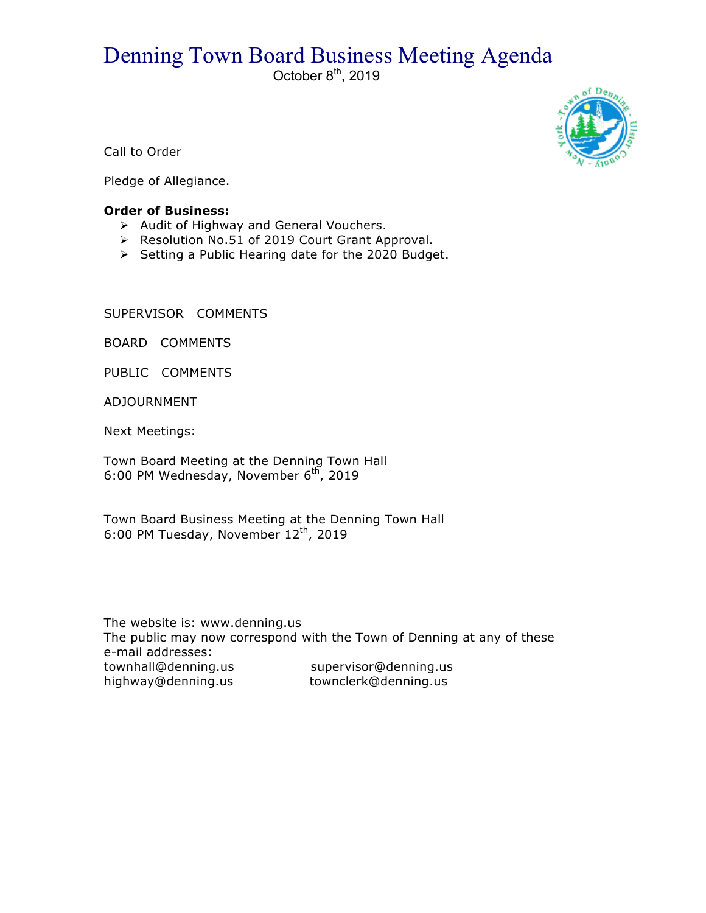## Denning Town Board Business Meeting Agenda

October  $8^{\text{th}}$ , 2019



Call to Order

Pledge of Allegiance.

## **Order of Business:**

- $\triangleright$  Audit of Highway and General Vouchers.
- ▶ Resolution No.51 of 2019 Court Grant Approval.
- $\triangleright$  Setting a Public Hearing date for the 2020 Budget.

SUPERVISOR COMMENTS

BOARD COMMENTS

PUBLIC COMMENTS

ADJOURNMENT

Next Meetings:

Town Board Meeting at the Denning Town Hall 6:00 PM Wednesday, November  $6<sup>th</sup>$ , 2019

Town Board Business Meeting at the Denning Town Hall 6:00 PM Tuesday, November 12<sup>th</sup>, 2019

The website is: www.denning.us The public may now correspond with the Town of Denning at any of these e-mail addresses: townhall@denning.us supervisor@denning.us highway@denning.us townclerk@denning.us